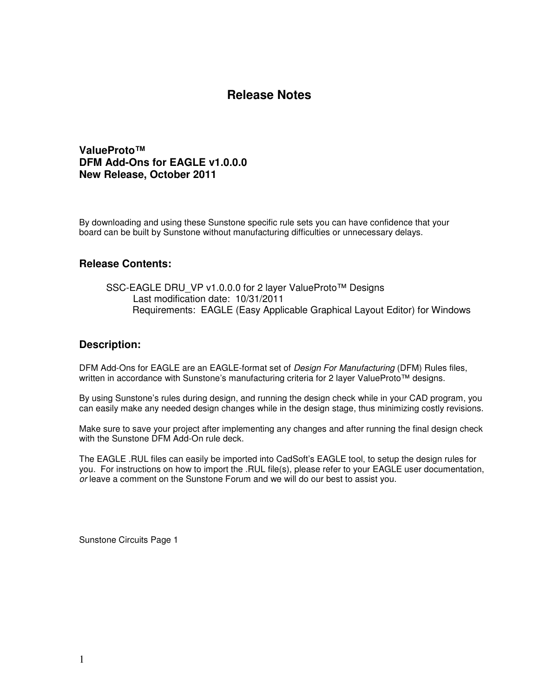**ValueProto™ DFM Add-Ons for EAGLE v1.0.0.0 New Release, October 2011** 

By downloading and using these Sunstone specific rule sets you can have confidence that your board can be built by Sunstone without manufacturing difficulties or unnecessary delays.

#### **Release Contents:**

SSC-EAGLE DRU\_VP v1.0.0.0 for 2 layer ValueProto™ Designs Last modification date: 10/31/2011 Requirements: EAGLE (Easy Applicable Graphical Layout Editor) for Windows

#### **Description:**

DFM Add-Ons for EAGLE are an EAGLE-format set of Design For Manufacturing (DFM) Rules files, written in accordance with Sunstone's manufacturing criteria for 2 layer ValueProto™ designs.

By using Sunstone's rules during design, and running the design check while in your CAD program, you can easily make any needed design changes while in the design stage, thus minimizing costly revisions.

Make sure to save your project after implementing any changes and after running the final design check with the Sunstone DFM Add-On rule deck.

The EAGLE .RUL files can easily be imported into CadSoft's EAGLE tool, to setup the design rules for you. For instructions on how to import the .RUL file(s), please refer to your EAGLE user documentation, or leave a comment on the Sunstone Forum and we will do our best to assist you.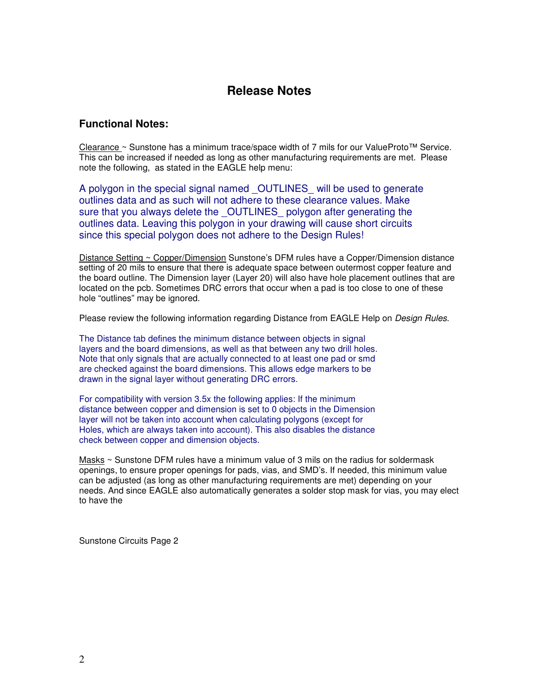#### **Functional Notes:**

Clearance ~ Sunstone has a minimum trace/space width of 7 mils for our ValueProto™ Service. This can be increased if needed as long as other manufacturing requirements are met. Please note the following, as stated in the EAGLE help menu:

A polygon in the special signal named OUTLINES will be used to generate outlines data and as such will not adhere to these clearance values. Make sure that you always delete the OUTLINES polygon after generating the outlines data. Leaving this polygon in your drawing will cause short circuits since this special polygon does not adhere to the Design Rules!

Distance Setting ~ Copper/Dimension Sunstone's DFM rules have a Copper/Dimension distance setting of 20 mils to ensure that there is adequate space between outermost copper feature and the board outline. The Dimension layer (Layer 20) will also have hole placement outlines that are located on the pcb. Sometimes DRC errors that occur when a pad is too close to one of these hole "outlines" may be ignored.

Please review the following information regarding Distance from EAGLE Help on *Design Rules*.

The Distance tab defines the minimum distance between objects in signal layers and the board dimensions, as well as that between any two drill holes. Note that only signals that are actually connected to at least one pad or smd are checked against the board dimensions. This allows edge markers to be drawn in the signal layer without generating DRC errors.

For compatibility with version 3.5x the following applies: If the minimum distance between copper and dimension is set to 0 objects in the Dimension layer will not be taken into account when calculating polygons (except for Holes, which are always taken into account). This also disables the distance check between copper and dimension objects.

Masks ~ Sunstone DFM rules have a minimum value of 3 mils on the radius for soldermask openings, to ensure proper openings for pads, vias, and SMD's. If needed, this minimum value can be adjusted (as long as other manufacturing requirements are met) depending on your needs. And since EAGLE also automatically generates a solder stop mask for vias, you may elect to have the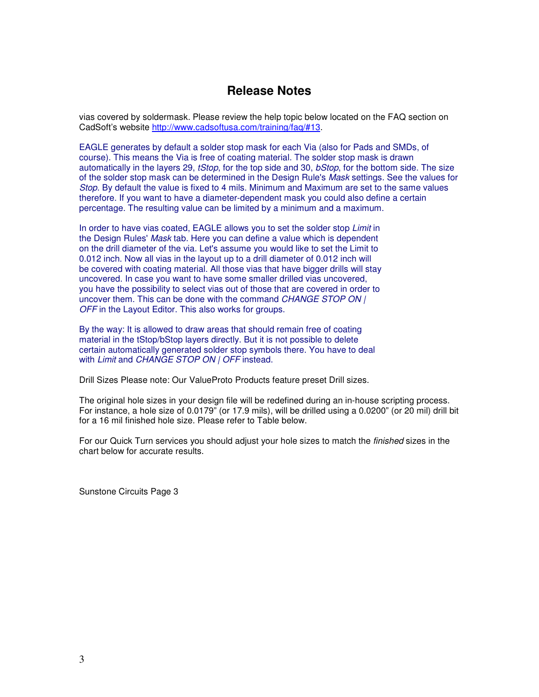vias covered by soldermask. Please review the help topic below located on the FAQ section on CadSoft's website http://www.cadsoftusa.com/training/faq/#13.

EAGLE generates by default a solder stop mask for each Via (also for Pads and SMDs, of course). This means the Via is free of coating material. The solder stop mask is drawn automatically in the layers 29, *tStop*, for the top side and 30, *bStop*, for the bottom side. The size of the solder stop mask can be determined in the Design Rule's Mask settings. See the values for Stop. By default the value is fixed to 4 mils. Minimum and Maximum are set to the same values therefore. If you want to have a diameter-dependent mask you could also define a certain percentage. The resulting value can be limited by a minimum and a maximum.

In order to have vias coated, EAGLE allows you to set the solder stop Limit in the Design Rules' Mask tab. Here you can define a value which is dependent on the drill diameter of the via. Let's assume you would like to set the Limit to 0.012 inch. Now all vias in the layout up to a drill diameter of 0.012 inch will be covered with coating material. All those vias that have bigger drills will stay uncovered. In case you want to have some smaller drilled vias uncovered, you have the possibility to select vias out of those that are covered in order to uncover them. This can be done with the command CHANGE STOP ON | OFF in the Layout Editor. This also works for groups.

By the way: It is allowed to draw areas that should remain free of coating material in the tStop/bStop layers directly. But it is not possible to delete certain automatically generated solder stop symbols there. You have to deal with Limit and CHANGE STOP ON | OFF instead.

Drill Sizes Please note: Our ValueProto Products feature preset Drill sizes.

The original hole sizes in your design file will be redefined during an in-house scripting process. For instance, a hole size of 0.0179" (or 17.9 mils), will be drilled using a 0.0200" (or 20 mil) drill bit for a 16 mil finished hole size. Please refer to Table below.

For our Quick Turn services you should adjust your hole sizes to match the *finished* sizes in the chart below for accurate results.